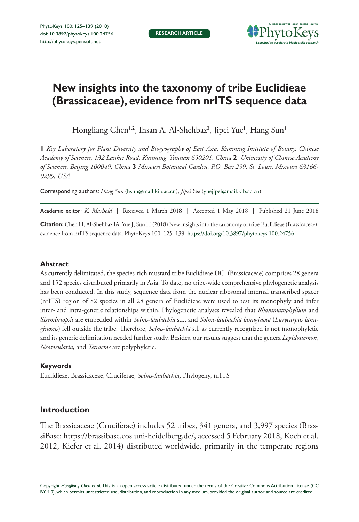

# **New insights into the taxonomy of tribe Euclidieae (Brassicaceae), evidence from nrITS sequence data**

Hongliang Chen<sup>1,2</sup>, Ihsan A. Al-Shehbaz<sup>3</sup>, Jipei Yue', Hang Sun'

**1** *Key Laboratory for Plant Diversity and Biogeography of East Asia, Kunming Institute of Botany, Chinese Academy of Sciences, 132 Lanhei Road, Kunming, Yunnan 650201, China* **2** *University of Chinese Academy of Sciences, Beijing 100049, China* **3** *Missouri Botanical Garden, P.O. Box 299, St. Louis, Missouri 63166- 0299, USA*

Corresponding authors: *Hang Sun* ([hsun@mail.kib.ac.cn](mailto:hsun@mail.kib.ac.cn)); *Jipei Yue* [\(yuejipei@mail.kib.ac.cn](mailto:yuejipei@mail.kib.ac.cn))

| Academic editor: <i>K. Marhold</i>   Received 1 March 2018   Accepted 1 May 2018   Published 21 June 2018               |
|-------------------------------------------------------------------------------------------------------------------------|
| Citation: Chen H, Al-Shehbaz IA, Yue J, Sun H (2018) New insights into the taxonomy of tribe Euclidieae (Brassicaceae), |
| evidence from nrITS sequence data. PhytoKeys 100: 125-139. https://doi.org/10.3897/phytokeys.100.24756                  |

#### **Abstract**

As currently delimitated, the species-rich mustard tribe Euclidieae DC. (Brassicaceae) comprises 28 genera and 152 species distributed primarily in Asia. To date, no tribe-wide comprehensive phylogenetic analysis has been conducted. In this study, sequence data from the nuclear ribosomal internal transcribed spacer (nrITS) region of 82 species in all 28 genera of Euclidieae were used to test its monophyly and infer inter- and intra-generic relationships within. Phylogenetic analyses revealed that *Rhammatophyllum* and *Sisymbriopsis* are embedded within *Solms-laubachia* s.l., and *Solms-laubachia lanuginosa* (*Eurycarpus lanuginosus*) fell outside the tribe. Therefore, *Solms-laubachia* s.l. as currently recognized is not monophyletic and its generic delimitation needed further study. Besides, our results suggest that the genera *Lepidostemon*, *Neotorularia*, and *Tetracme* are polyphyletic.

#### **Keywords**

Euclidieae, Brassicaceae, Cruciferae, *Solms-laubachia*, Phylogeny, nrITS

# **Introduction**

The Brassicaceae (Cruciferae) includes 52 tribes, 341 genera, and 3,997 species (BrassiBase: [https://brassibase.cos.uni-heidelberg.de/,](https://brassibase.cos.uni-heidelberg.de/) accessed 5 February 2018, Koch et al. 2012, Kiefer et al. 2014) distributed worldwide, primarily in the temperate regions

Copyright *Hongliang Chen et al.* This is an open access article distributed under the terms of the [Creative Commons Attribution License \(CC](http://creativecommons.org/licenses/by/4.0/)  [BY 4.0\)](http://creativecommons.org/licenses/by/4.0/), which permits unrestricted use, distribution, and reproduction in any medium, provided the original author and source are credited.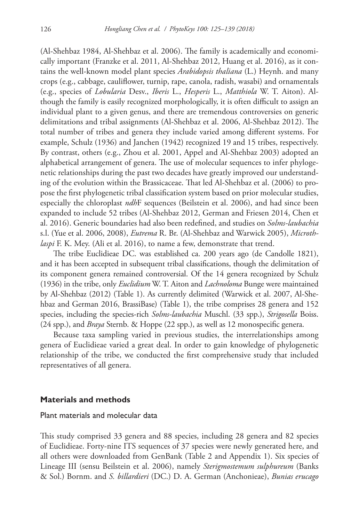(Al-Shehbaz 1984, Al-Shehbaz et al. 2006). The family is academically and economically important (Franzke et al. 2011, Al-Shehbaz 2012, Huang et al. 2016), as it contains the well-known model plant species *Arabidopsis thaliana* (L.) Heynh. and many crops (e.g., cabbage, cauliflower, turnip, rape, canola, radish, wasabi) and ornamentals (e.g., species of *Lobularia* Desv., *Iberis* L., *Hesperis* L., *Matthiola* W. T. Aiton). Although the family is easily recognized morphologically, it is often difficult to assign an individual plant to a given genus, and there are tremendous controversies on generic delimitations and tribal assignments (Al-Shehbaz et al. 2006, Al-Shehbaz 2012). The total number of tribes and genera they include varied among different systems. For example, Schulz (1936) and Janchen (1942) recognized 19 and 15 tribes, respectively. By contrast, others (e.g., Zhou et al. 2001, Appel and Al-Shehbaz 2003) adopted an alphabetical arrangement of genera. The use of molecular sequences to infer phylogenetic relationships during the past two decades have greatly improved our understanding of the evolution within the Brassicaceae. That led Al-Shehbaz et al. (2006) to propose the first phylogenetic tribal classification system based on prior molecular studies, especially the chloroplast *ndh*F sequences (Beilstein et al. 2006), and had since been expanded to include 52 tribes (Al-Shehbaz 2012, German and Friesen 2014, Chen et al. 2016). Generic boundaries had also been redefined, and studies on *Solms-laubachia* s.l. (Yue et al. 2006, 2008), *Eutrema* R. Br. (Al-Shehbaz and Warwick 2005), *Microthlaspi* F. K. Mey. (Ali et al. 2016), to name a few, demonstrate that trend.

The tribe Euclidieae DC. was established ca. 200 years ago (de Candolle 1821), and it has been accepted in subsequent tribal classifications, though the delimitation of its component genera remained controversial. Of the 14 genera recognized by Schulz (1936) in the tribe, only *Euclidium* W. T. Aiton and *Lachnoloma* Bunge were maintained by Al-Shehbaz (2012) (Table 1). As currently delimited (Warwick et al. 2007, Al-Shehbaz and German 2016, BrassiBase) (Table 1), the tribe comprises 28 genera and 152 species, including the species-rich *Solms-laubachia* Muschl. (33 spp.), *Strigosella* Boiss. (24 spp.), and *Braya* Sternb. & Hoppe (22 spp.), as well as 12 monospecific genera.

Because taxa sampling varied in previous studies, the interrelationships among genera of Euclidieae varied a great deal. In order to gain knowledge of phylogenetic relationship of the tribe, we conducted the first comprehensive study that included representatives of all genera.

#### **Materials and methods**

## Plant materials and molecular data

This study comprised 33 genera and 88 species, including 28 genera and 82 species of Euclidieae. Forty-nine ITS sequences of 37 species were newly generated here, and all others were downloaded from GenBank (Table 2 and Appendix 1). Six species of Lineage III (sensu Beilstein et al. 2006), namely *Sterigmostemum sulphureum* (Banks & Sol.) Bornm. and *S. billardieri* (DC.) D. A. German (Anchonieae), *Bunias erucago*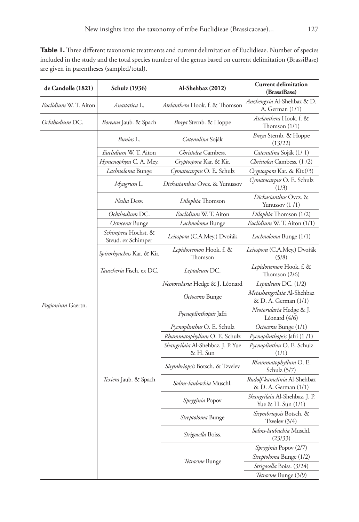Table 1. Three different taxonomic treatments and current delimitation of Euclidieae. Number of species included in the study and the total species number of the genus based on current delimitation (BrassiBase) are given in parentheses (sampled/total).

| de Candolle (1821)           | Schulz (1936)                             | Al-Shehbaz (2012)                             | <b>Current delimitation</b><br>(BrassiBase)         |
|------------------------------|-------------------------------------------|-----------------------------------------------|-----------------------------------------------------|
| <i>Euclidium</i> W. T. Aiton | Anastatica L.                             | <i>Atelanthera</i> Hook. f. & Thomson         | Anzhengxia Al-Shehbaz & D.<br>A. German $(1/1)$     |
| Ochthodium DC.               | Boreava Jaub. & Spach                     | Braya Sternb. & Hoppe                         | Atelanthera Hook. f. &<br>Thomson $(1/1)$           |
|                              | Bunias L.                                 | Catenulina Soják                              | Braya Sternb. & Hoppe<br>(13/22)                    |
|                              | Euclidium W. T. Aiton                     | Christolea Cambess.                           | Catenulina Soják (1/1)                              |
|                              | Hymenophysa C. A. Mey.                    | Cryptospora Kar. & Kir.                       | Christolea Cambess. (1/2)                           |
|                              | Lachnoloma Bunge                          | Cymatocarpus O. E. Schulz                     | Cryptospora Kar. & Kir.(/3)                         |
|                              | Myagrum L.                                | <i>Dichasianthus</i> Ovcz. & Yunussov         | Cymatocarpus O. E. Schulz<br>(1/3)                  |
|                              | Neslia Desv.                              | Dilophia Thomson                              | Dichasianthus Ovcz. &<br>Yunussov (1/1)             |
|                              | Ochthodium DC.                            | Euclidium W. T. Aiton                         | Dilophia Thomson (1/2)                              |
|                              | Octoceras Bunge                           | Lachnoloma Bunge                              | Euclidium W. T. Aiton (1/1)                         |
|                              | Schimpera Hochst. &<br>Steud. ex Schimper | Leiospora (C.A.Mey.) Dvořák                   | Lachnoloma Bunge (1/1)                              |
|                              | <i>Spirorhynchus</i> Kar. & Kir.          | Lepidostemon Hook. f. &<br>Thomson            | Leiospora (C.A.Mey.) Dvořák<br>(5/8)                |
|                              | Tauscheria Fisch. ex DC.                  | Leptaleum DC.                                 | Lepidostemon Hook. f. &<br>Thomson $(2/6)$          |
|                              |                                           | Neotorularia Hedge & J. Léonard               | Leptaleum DC. (1/2)                                 |
|                              |                                           | Octoceras Bunge                               | Metashangrilaia Al-Shehbaz<br>& D. A. German (1/1)  |
| Pugionium Gaertn.            |                                           | Pycnoplinthopsis Jafri                        | Neotorularia Hedge & J.<br>Léonard (4/6)            |
|                              |                                           | Pycnoplinthus O. E. Schulz                    | Octoceras Bunge (1/1)                               |
|                              |                                           | Rhammatophyllum O. E. Schulz                  | Pycnoplinthopsis Jafri (1/1)                        |
|                              |                                           | Shangrilaia Al-Shehbaz, J. P. Yue<br>& H. Sun | Pycnoplinthus O. E. Schulz<br>(1/1)                 |
|                              |                                           | Sisymbriopsis Botsch. & Tzvelev               | Rhammatophyllum O. E.<br>Schulz (5/7)               |
|                              | Texiera Jaub. & Spach                     | Solms-laubachia Muschl.                       | Rudolf-kamelinia Al-Shehbaz<br>& D. A. German (1/1) |
|                              |                                           | Spryginia Popov                               | Shangrilaia Al-Shehbaz, J. P.<br>Yue & H. Sun (1/1) |
|                              |                                           | Streptoloma Bunge                             | Sisymbriopsis Botsch. &<br>Tzvelev $(3/4)$          |
|                              |                                           | Strigosella Boiss.                            | Solms-laubachia Muschl.<br>(23/33)                  |
|                              |                                           |                                               | Spryginia Popov (2/7)                               |
|                              |                                           |                                               | Streptoloma Bunge (1/2)                             |
|                              |                                           | Tetracme Bunge                                | Strigosella Boiss. (3/24)                           |
|                              |                                           |                                               | Tetracme Bunge (3/9)                                |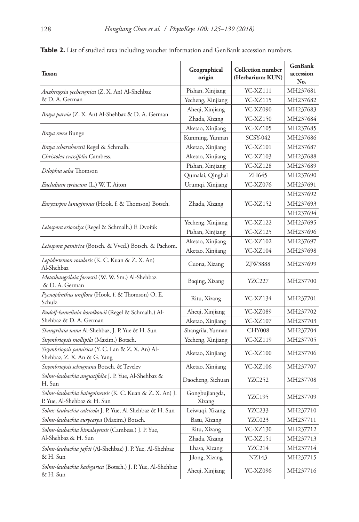| Taxon                                                                                   | Geographical<br>origin   | <b>Collection number</b><br>(Herbarium: KUN) | <b>GenBank</b><br>accession<br>No. |
|-----------------------------------------------------------------------------------------|--------------------------|----------------------------------------------|------------------------------------|
| Anzhengxia yechengnica (Z. X. An) Al-Shehbaz                                            | Pishan, Xinjiang         | YC-XZ111                                     | MH237681                           |
| & D. A. German                                                                          | Yecheng, Xinjiang        | YC-XZ115                                     | MH237682                           |
|                                                                                         | Aheqi, Xinjiang          | YC-XZ090                                     | MH237683                           |
| Braya parvia (Z. X. An) Al-Shehbaz & D. A. German                                       | Zhada, Xizang            | YC-XZ150                                     | MH237684                           |
|                                                                                         | Aketao, Xinjiang         | YC-XZ105                                     | MH237685                           |
| Braya rosea Bunge                                                                       | Kunming, Yunnan          | SCSY-042                                     | MH237686                           |
| Braya scharnhorstii Regel & Schmalh.                                                    | Aketao, Xinjiang         | YC-XZ101                                     | MH237687                           |
| Christolea crassifolia Cambess.                                                         | Aketao, Xinjiang         | YC-XZ103                                     | MH237688                           |
|                                                                                         | Pishan, Xinjiang         | YC-XZ128                                     | MH237689                           |
| Dilophia salsa Thomson                                                                  | Qumalai, Qinghai         | ZH645                                        | MH237690                           |
| Euclidium syriacum (L.) W. T. Aiton                                                     | Urumqi, Xinjiang         | YC-XZ076                                     | MH237691                           |
|                                                                                         |                          |                                              | MH237692                           |
| Eurycarpus lanuginosus (Hook. f. & Thomson) Botsch.                                     | Zhada, Xizang            | YC-XZ152                                     | MH237693                           |
|                                                                                         |                          |                                              | MH237694                           |
|                                                                                         | Yecheng, Xinjiang        | YC-XZ122                                     | MH237695                           |
| Leiospora eriocalyx (Regel & Schmalh.) F. Dvořák                                        | Pishan, Xinjiang         | YC-XZ125                                     | MH237696                           |
|                                                                                         | Aketao, Xinjiang         | YC-XZ102                                     | MH237697                           |
| Leiospora pamirica (Botsch. & Vved.) Botsch. & Pachom.                                  | Aketao, Xinjiang         | YC-XZ104                                     | MH237698                           |
| Lepidostemon rosularis (K. C. Kuan & Z. X. An)<br>Al-Shehbaz                            | Cuona, Xizang            | ZJW3888                                      | MH237699                           |
| Metashangrilaia forrestii (W. W. Sm.) Al-Shehbaz<br>& D. A. German                      | Baqing, Xizang           | YZC227                                       | MH237700                           |
| Pycnoplinthus uniflora (Hook. f. & Thomson) O. E.<br>Schulz                             | Ritu, Xizang             | YC-XZ134                                     | MH237701                           |
| Rudolf-kamelinia korolkowii (Regel & Schmalh.) Al-                                      | Aheqi, Xinjiang          | YC-XZ089                                     | MH237702                           |
| Shehbaz & D. A. German                                                                  | Aketao, Xinjiang         | YC-XZ107                                     | MH237703                           |
| Shangrilaia nana Al-Shehbaz, J. P. Yue & H. Sun                                         | Shangrila, Yunnan        | CHY008                                       | MH237704                           |
| Sisymbriopsis mollipila (Maxim.) Botsch.                                                | Yecheng, Xinjiang        | YC-XZ119                                     | MH237705                           |
| Sisymbriopsis pamirica (Y. C. Lan & Z. X. An) Al-<br>Shehbaz, Z. X. An & G. Yang        | Aketao, Xinjiang         | YC-XZ100                                     | MH237706                           |
| Sisymbriopsis schugnana Botsch. & Tzvelev                                               | Aketao, Xinjiang         | <b>YC-XZ106</b>                              | MH237707                           |
| Solms-laubachia angustifolia J. P. Yue, Al-Shehbaz &<br>H. Sun                          | Daocheng, Sichuan        | YZC252                                       | MH237708                           |
| Solms-laubachia baiogoinensis (K. C. Kuan & Z. X. An) J.<br>P. Yue, Al-Shehbaz & H. Sun | Gongbujiangda,<br>Xizang | YZC195                                       | MH237709                           |
| Solms-laubachia calcicola J. P. Yue, Al-Shehbaz & H. Sun                                | Leiwuqi, Xizang          | YZC233                                       | MH237710                           |
| Solms-laubachia eurycarpa (Maxim.) Botsch.                                              | Basu, Xizang             | YZC023                                       | MH237711                           |
| Solms-laubachia himalayensis (Cambess.) J. P. Yue,                                      | Ritu, Xizang             | YC-XZ130                                     | MH237712                           |
| Al-Shehbaz & H. Sun                                                                     | Zhada, Xizang            | YC-XZ151                                     | MH237713                           |
| Solms-laubachia jafrii (Al-Shehbaz) J. P. Yue, Al-Shehbaz                               | Lhasa, Xizang            | YZC214                                       | MH237714                           |
| & H. Sun                                                                                | Jilong, Xizang           | NZ143                                        | MH237715                           |
| Solms-laubachia kashgarica (Botsch.) J. P. Yue, Al-Shehbaz<br>& H. Sun                  | Aheqi, Xinjiang          | YC-XZ096                                     | MH237716                           |

**Table 2.** List of studied taxa including voucher information and GenBank accession numbers.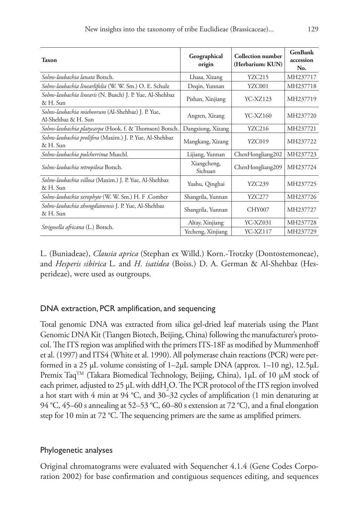| <b>Taxon</b>                                                             | Geographical<br>origin | <b>Collection</b> number<br>(Herbarium: KUN) | <b>GenBank</b><br>accession<br>No. |
|--------------------------------------------------------------------------|------------------------|----------------------------------------------|------------------------------------|
| Solms-laubachia lanata Botsch.                                           | Lhasa, Xizang          | <b>YZC215</b>                                | MH237717                           |
| Solms-laubachia linearlifolia (W. W. Sm.) O. E. Schulz                   | Deqin, Yunnan          | YZC001                                       | MH237718                           |
| Solms-laubachia linearis (N. Busch) J. P. Yue, Al-Shehbaz<br>& H. Sun    | Pishan, Xinjiang       | YC-XZ123                                     | MH237719                           |
| Solms-laubachia mieheorum (Al-Shehbaz) J. P. Yue,<br>Al-Shehbaz & H. Sun | Angren, Xizang         | YC-XZ160                                     | MH237720                           |
| Solms-laubachia platycarpa (Hook. f. & Thomson) Botsch.                  | Dangxiong, Xizang      | YZC216                                       | MH237721                           |
| Solms-laubachia prolifera (Maxim.) J. P. Yue, Al-Shehbaz<br>& H. Sun     | Mangkang, Xizang       | YZC019                                       | MH237722                           |
| Solms-laubachia pulcherrima Muschl.                                      | Lijiang, Yunnan        | ChenHongliang202                             | MH237723                           |
| Solms-laubachia retropilosa Botsch.                                      | Xiangcheng,<br>Sichuan | ChenHongliang209                             | MH237724                           |
| Solms-laubachia villosa (Maxim.) J. P. Yue, Al-Shehbaz<br>& H. Sun       | Yushu, Qinghai         | YZC239                                       | MH237725                           |
| Solms-laubachia xerophyte (W. W. Sm.) H. F. Comber                       | Shangrila, Yunnan      | YZC277                                       | MH237726                           |
| Solms-laubachia zhongdianensis J. P. Yue, Al-Shehbaz<br>& H. Sun         | Shangrila, Yunnan      | CHY007                                       | MH237727                           |
|                                                                          | Altay, Xinjiang        | YC-XZ031                                     | MH237728                           |
| Strigosella africana (L.) Botsch.                                        | Yecheng, Xinjiang      | YC-XZ117                                     | MH237729                           |

L. (Buniadeae), *Clausia aprica* (Stephan ex Willd.) Korn.-Trotzky (Dontostemoneae), and *Hesperis sibirica* L. and *H. isatidea* (Boiss.) D. A. German & Al-Shehbaz (Hesperideae), were used as outgroups.

# DNA extraction, PCR amplification, and sequencing

Total genomic DNA was extracted from silica gel-dried leaf materials using the Plant Genomic DNA Kit (Tiangen Biotech, Beijing, China) following the manufacturer's protocol. The ITS region was amplified with the primers ITS-18F as modified by Mummenhoff et al. (1997) and ITS4 (White et al. 1990). All polymerase chain reactions (PCR) were performed in a 25 μL volume consisting of 1–2μL sample DNA (approx. 1–10 ng), 12.5μL Premix Taq<sup>TM</sup> (Takara Biomedical Technology, Beijing, China), 1μL of 10 μM stock of each primer, adjusted to 25  $\mu$ L with ddH<sub>2</sub>O. The PCR protocol of the ITS region involved a hot start with 4 min at 94 °C, and 30–32 cycles of amplification (1 min denaturing at 94 °C, 45–60 s annealing at 52–53 °C, 60–80 s extension at 72 °C), and a final elongation step for 10 min at 72 °C. The sequencing primers are the same as amplified primers.

## Phylogenetic analyses

Original chromatograms were evaluated with Sequencher 4.1.4 (Gene Codes Corporation 2002) for base confirmation and contiguous sequences editing, and sequences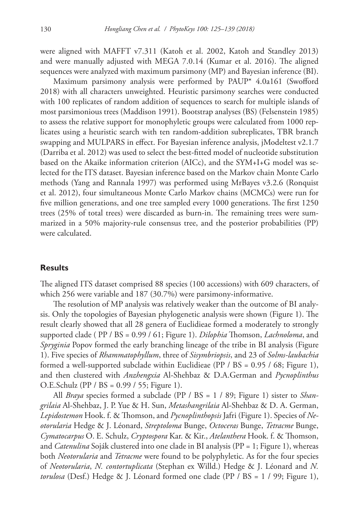were aligned with MAFFT v7.311 (Katoh et al. 2002, Katoh and Standley 2013) and were manually adjusted with MEGA 7.0.14 (Kumar et al. 2016). The aligned sequences were analyzed with maximum parsimony (MP) and Bayesian inference (BI).

Maximum parsimony analysis were performed by PAUP\* 4.0a161 (Swofford 2018) with all characters unweighted. Heuristic parsimony searches were conducted with 100 replicates of random addition of sequences to search for multiple islands of most parsimonious trees (Maddison 1991). Bootstrap analyses (BS) (Felsenstein 1985) to assess the relative support for monophyletic groups were calculated from 1000 replicates using a heuristic search with ten random-addition subreplicates, TBR branch swapping and MULPARS in effect. For Bayesian inference analysis, jModeltest v2.1.7 (Darriba et al. 2012) was used to select the best-fitted model of nucleotide substitution based on the Akaike information criterion (AICc), and the SYM+I+G model was selected for the ITS dataset. Bayesian inference based on the Markov chain Monte Carlo methods (Yang and Rannala 1997) was performed using MrBayes v3.2.6 (Ronquist et al. 2012), four simultaneous Monte Carlo Markov chains (MCMCs) were run for five million generations, and one tree sampled every 1000 generations. The first 1250 trees (25% of total trees) were discarded as burn-in. The remaining trees were summarized in a 50% majority-rule consensus tree, and the posterior probabilities (PP) were calculated.

#### **Results**

The aligned ITS dataset comprised 88 species (100 accessions) with 609 characters, of which 256 were variable and 187 (30.7%) were parsimony-informative.

The resolution of MP analysis was relatively weaker than the outcome of BI analysis. Only the topologies of Bayesian phylogenetic analysis were shown (Figure 1). The result clearly showed that all 28 genera of Euclidieae formed a moderately to strongly supported clade ( PP / BS = 0.99 / 61; Figure 1). *Dilophia* Thomson, *Lachnoloma*, and *Spryginia* Popov formed the early branching lineage of the tribe in BI analysis (Figure 1). Five species of *Rhammatophyllum*, three of *Sisymbriopsis*, and 23 of *Solms-laubachia* formed a well-supported subclade within Euclidieae (PP / BS =  $0.95$  / 68; Figure 1), and then clustered with *Anzhengxia* Al-Shehbaz & D.A.German and *Pycnoplinthus* O.E.Schulz (PP / BS = 0.99 / 55; Figure 1).

All *Braya* species formed a subclade (PP / BS = 1 / 89; Figure 1) sister to *Shangrilaia* Al-Shehbaz, J. P. Yue & H. Sun, *Metashangrilaia* Al-Shehbaz & D. A. German, *Lepidostemon* Hook. f. & Thomson, and *Pycnoplinthopsis* Jafri (Figure 1). Species of *Neotorularia* Hedge & J. Léonard, *Streptoloma* Bunge, *Octoceras* Bunge, *Tetracme* Bunge, *Cymatocarpus* O. E. Schulz, *Cryptospora* Kar. & Kir., *Atelanthera* Hook. f. & Thomson, and *Catenulina* Soják clustered into one clade in BI analysis (PP = 1; Figure 1), whereas both *Neotorularia* and *Tetracme* were found to be polyphyletic. As for the four species of *Neotorularia*, *N. contortuplicata* (Stephan ex Willd.) Hedge & J. Léonard and *N. torulosa* (Desf.) Hedge & J. Léonard formed one clade (PP / BS = 1 / 99; Figure 1),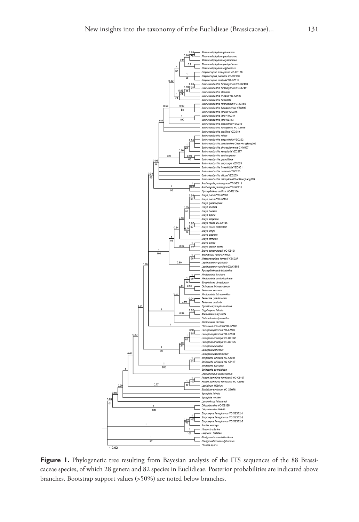

Figure 1. Phylogenetic tree resulting from Bayesian analysis of the ITS sequences of the 88 Brassicaceae species, of which 28 genera and 82 species in Euclidieae. Posterior probabilities are indicated above branches. Bootstrap support values (>50%) are noted below branches.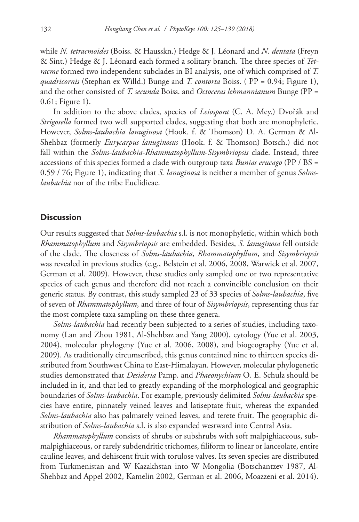while *N. tetracmoides* (Boiss. & Hausskn.) Hedge & J. Léonard and *N. dentata* (Freyn & Sint.) Hedge & J. Léonard each formed a solitary branch. The three species of *Tetracme* formed two independent subclades in BI analysis, one of which comprised of *T. quadricornis* (Stephan ex Willd.) Bunge and *T. contorta* Boiss. ( PP = 0.94; Figure 1), and the other consisted of *T. secunda* Boiss. and *Octoceras lehmannianum* Bunge (PP = 0.61; Figure 1).

In addition to the above clades, species of *Leiospora* (C. A. Mey.) Dvořák and *Strigosella* formed two well supported clades, suggesting that both are monophyletic. However, *Solms-laubachia lanuginosa* (Hook. f. & Thomson) D. A. German & Al-Shehbaz (formerly *Eurycarpus lanuginosus* (Hook. f. & Thomson) Botsch.) did not fall within the *Solms-laubachia*-*Rhammatophyllum*-*Sisymbriopsis* clade. Instead, three accessions of this species formed a clade with outgroup taxa *Bunias erucago* (PP / BS = 0.59 / 76; Figure 1), indicating that *S. lanuginosa* is neither a member of genus *Solmslaubachia* nor of the tribe Euclidieae.

### **Discussion**

Our results suggested that *Solms-laubachia* s.l. is not monophyletic, within which both *Rhammatophyllum* and *Sisymbriopsis* are embedded. Besides, *S. lanuginosa* fell outside of the clade. The closeness of *Solms-laubachia*, *Rhammatophyllum*, and *Sisymbriopsis* was revealed in previous studies (e.g., Belstein et al. 2006, 2008, Warwick et al. 2007, German et al. 2009). However, these studies only sampled one or two representative species of each genus and therefore did not reach a convincible conclusion on their generic status. By contrast, this study sampled 23 of 33 species of *Solms-laubachia*, five of seven of *Rhammatophyllum*, and three of four of *Sisymbriopsis*, representing thus far the most complete taxa sampling on these three genera.

*Solms-laubachia* had recently been subjected to a series of studies, including taxonomy (Lan and Zhou 1981, Al-Shehbaz and Yang 2000), cytology (Yue et al. 2003, 2004), molecular phylogeny (Yue et al. 2006, 2008), and biogeography (Yue et al. 2009). As traditionally circumscribed, this genus contained nine to thirteen species distributed from Southwest China to East-Himalayan. However, molecular phylogenetic studies demonstrated that *Desideria* Pamp. and *Phaeonychium* O. E. Schulz should be included in it, and that led to greatly expanding of the morphological and geographic boundaries of *Solms-laubachia*. For example, previously delimited *Solms-laubachia* species have entire, pinnately veined leaves and latiseptate fruit, whereas the expanded *Solms-laubachia* also has palmately veined leaves, and terete fruit. The geographic distribution of *Solms-laubachia* s.l. is also expanded westward into Central Asia.

*Rhammatophyllum* consists of shrubs or subshrubs with soft malpighiaceous, submalpighiaceous, or rarely subdendritic trichomes, filiform to linear or lanceolate, entire cauline leaves, and dehiscent fruit with torulose valves. Its seven species are distributed from Turkmenistan and W Kazakhstan into W Mongolia (Botschantzev 1987, Al-Shehbaz and Appel 2002, Kamelin 2002, German et al. 2006, Moazzeni et al. 2014).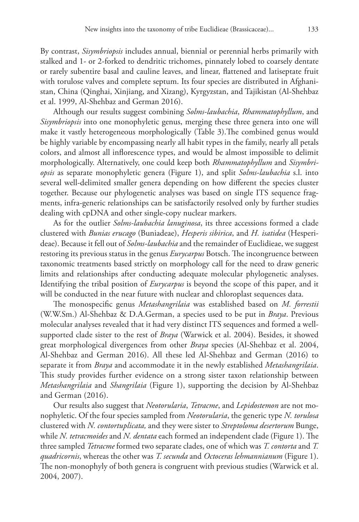By contrast, *Sisymbriopsis* includes annual, biennial or perennial herbs primarily with stalked and 1- or 2-forked to dendritic trichomes, pinnately lobed to coarsely dentate or rarely subentire basal and cauline leaves, and linear, flattened and latiseptate fruit with torulose valves and complete septum. Its four species are distributed in Afghanistan, China (Qinghai, Xinjiang, and Xizang), Kyrgyzstan, and Tajikistan (Al-Shehbaz et al. 1999, Al-Shehbaz and German 2016).

Although our results suggest combining *Solms-laubachia*, *Rhammatophyllum*, and *Sisymbriopsis* into one monophyletic genus, merging these three genera into one will make it vastly heterogeneous morphologically (Table 3).The combined genus would be highly variable by encompassing nearly all habit types in the family, nearly all petals colors, and almost all inflorescence types, and would be almost impossible to delimit morphologically. Alternatively, one could keep both *Rhammatophyllum* and *Sisymbriopsis* as separate monophyletic genera (Figure 1), and split *Solms-laubachia* s.l. into several well-delimited smaller genera depending on how different the species cluster together. Because our phylogenetic analyses was based on single ITS sequence fragments, infra-generic relationships can be satisfactorily resolved only by further studies dealing with cpDNA and other single-copy nuclear markers.

As for the outlier *Solms-laubachia lanuginosa*, its three accessions formed a clade clustered with *Bunias erucago* (Buniadeae), *Hesperis sibirica*, and *H. isatidea* (Hesperideae). Because it fell out of *Solms-laubachia* and the remainder of Euclidieae, we suggest restoring its previous status in the genus *Eurycarpus* Botsch. The incongruence between taxonomic treatments based strictly on morphology call for the need to draw generic limits and relationships after conducting adequate molecular phylogenetic analyses. Identifying the tribal position of *Eurycarpus* is beyond the scope of this paper, and it will be conducted in the near future with nuclear and chloroplast sequences data.

The monospecific genus *Metashangrilaia* was established based on *M. forrestii*  (W.W.Sm.) Al-Shehbaz & D.A.German, a species used to be put in *Braya*. Previous molecular analyses revealed that it had very distinct ITS sequences and formed a wellsupported clade sister to the rest of *Braya* (Warwick et al. 2004). Besides, it showed great morphological divergences from other *Braya* species (Al-Shehbaz et al. 2004, Al-Shehbaz and German 2016). All these led Al-Shehbaz and German (2016) to separate it from *Braya* and accommodate it in the newly established *Metashangrilaia*. This study provides further evidence on a strong sister taxon relationship between *Metashangrilaia* and *Shangrilaia* (Figure 1), supporting the decision by Al-Shehbaz and German (2016).

Our results also suggest that *Neotorularia*, *Tetracme*, and *Lepidostemon* are not monophyletic. Of the four species sampled from *Neotorularia*, the generic type *N. torulosa* clustered with *N. contortuplicata,* and they were sister to *Streptoloma desertorum* Bunge, while *N. tetracmoides* and *N. dentata* each formed an independent clade (Figure 1). The three sampled *Tetracme* formed two separate clades, one of which was *T. contorta* and *T. quadricornis*, whereas the other was *T. secunda* and *Octoceras lehmannianum* (Figure 1). The non-monophyly of both genera is congruent with previous studies (Warwick et al. 2004, 2007).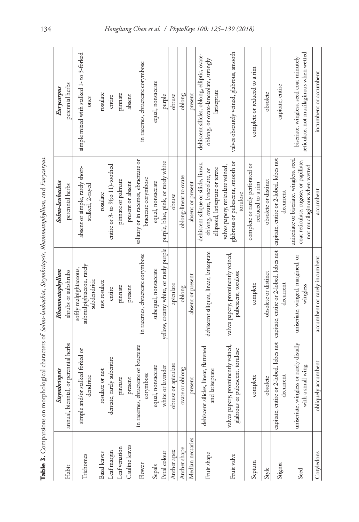| l<br>さべた<br>֦֖֖֖֖֪֪֪֪֪֪֪֪֪֚֚֚֚֚֘֝֬ <u>֖֚</u><br>֧֚֩֩<br>j<br>I<br>l<br>j<br>j<br>ļ |
|------------------------------------------------------------------------------------|
| l                                                                                  |
| Ş<br>֚֚֬<br>$\epsilon$<br>i                                                        |
| ׇ֢֖֖֚֚֚֚֚֡                                                                         |
| $\ddot{}}$<br>4<br>l<br>١<br>j<br>$\ddot{\tilde{z}}$                               |
| $\frac{1}{2}$                                                                      |
|                                                                                    |
| j                                                                                  |
|                                                                                    |
| I<br>ł                                                                             |
| i                                                                                  |
| l<br>į<br>ł<br>ł                                                                   |
| $\frac{1}{2}$<br>š                                                                 |
| į                                                                                  |
| ł                                                                                  |
| ł                                                                                  |
| ł<br>į<br>l<br>i<br>l<br>j<br>֖֖֖֖֪ׅ֪֪֪ׅ֖֖֚֚֚֚֚֚֚֚֬֓֡                              |
| ļ                                                                                  |
|                                                                                    |
| ı<br>ł                                                                             |
| j<br>l                                                                             |
| i<br>i                                                                             |
| j                                                                                  |
| )<br>I                                                                             |
|                                                                                    |
|                                                                                    |
| <u>ہ</u><br>آ                                                                      |
|                                                                                    |

|                     | Sisymbriopsis                                                         | Rhammatophyllum                                                                                                                   | Solms-laubachia                                                                                                   | Eurycarpus                                                                                           |
|---------------------|-----------------------------------------------------------------------|-----------------------------------------------------------------------------------------------------------------------------------|-------------------------------------------------------------------------------------------------------------------|------------------------------------------------------------------------------------------------------|
| Habit               | or perennial herbs<br>annual, biennial                                | shrubs or subshrubs                                                                                                               | perennial herbs                                                                                                   | perennial herbs                                                                                      |
| Trichomes           | simple and/or stalked forked or<br>dendritic                          | submalpighiaceou, rarely<br>softly malpighiaceous,<br>subdendritic                                                                | absent or simple, rarely short-<br>stalked, 2-rayed                                                               | simple mixed with stalked 1- to 3-forked<br>ones                                                     |
| <b>Basal</b> leaves | rosulate or not                                                       | not rosulate                                                                                                                      | rosulate                                                                                                          | rosulate                                                                                             |
| Leaf margin         | dentate, rarely subentire                                             | entire                                                                                                                            | entire or 3- to 9(to 11)-toothed                                                                                  | entire                                                                                               |
| Leaf venation       | pinnate                                                               | pinnate                                                                                                                           | pinnate or palmate                                                                                                | pinnate                                                                                              |
| Cauline leaves      | present                                                               | present                                                                                                                           | present or absent                                                                                                 | absent                                                                                               |
| Flower              | in racemes, ebracteate or bracteate<br>corymbose                      | in racemes, ebracteate corymbose                                                                                                  | solitary or in racemes, ebracteate or<br>bracteate corymbose                                                      | in racemes, ebracteate corymbose                                                                     |
| Sepals              | equal, nonsaccate                                                     | subequal, nonsaccate                                                                                                              | equal, nonsaccate                                                                                                 | equal, nonsaccate                                                                                    |
| Petal colour        | white or lavender                                                     | yellow, creamy white, or rarely purple                                                                                            | purple, blue, pink, or rarely white                                                                               | purple                                                                                               |
| Anther apex         | obtuse or apiculate                                                   | apiculate                                                                                                                         | obtuse                                                                                                            | obtuse                                                                                               |
| Anther shape        | ovate or oblong                                                       | oblong                                                                                                                            | oblong-linear to ovate                                                                                            | oblong                                                                                               |
| Median nectaries    | present                                                               | absent or present                                                                                                                 | absent or present                                                                                                 | present                                                                                              |
| Fruit shape         | dehiscent silicles, linear, flattened<br>and latiseptate              | dehiscent siliques, linear, latiseptate                                                                                           | dehiscent silique or silide, linear,<br>ellipsoid, latiseptate or terete<br>oblong, ovate, lanceolate, or         | dehiscent silicles, oblong, elliptic, ovate-<br>oblong, or ovate-lanceolate, strongly<br>latiseptate |
| Fruit valve         | valves papery, prominently veined,<br>glabrous or pubescent, torulose | valves papery, prominently veined,<br>pubescent, torulose                                                                         | glabrous or pubescent, smooth or<br>valves papery, reticulate veined,<br>torulose                                 | valves obscurely veined, glabrous, smooth                                                            |
| Septum              | complete                                                              | complete                                                                                                                          | complete or rarely perforated or<br>reduced to a rim                                                              | complete or reduced to a rim                                                                         |
| Style               | obsolete                                                              | obsolete or distinct                                                                                                              | obsolete or distinct                                                                                              | obsolete                                                                                             |
| Stigma              | decurrent                                                             | capitate, entire or 2-lobed, lobes not capitate, entire or 2-lobed, lobes not capitate, entire or 2-lobed, lobes not<br>decurrent | decurrent                                                                                                         | capitate, entire                                                                                     |
| Seed                | uniseriate, wingless or rarely distally<br>with a small wing          | uniseriate, winged, margined, or<br>wingless                                                                                      | uniseriate or biseriate, wingless, seed<br>coat reticulate, rugose, or papillate,<br>not mucilaginous when wetted | reticulate, not mucilaginous when wetted<br>biseriate, wingless, seed coat minutely                  |
| Cotyledons          | accumbent<br>obliquely                                                | accumbent or rarely incumbent                                                                                                     | accumbent                                                                                                         | incumbent or accumbent                                                                               |
|                     |                                                                       |                                                                                                                                   |                                                                                                                   |                                                                                                      |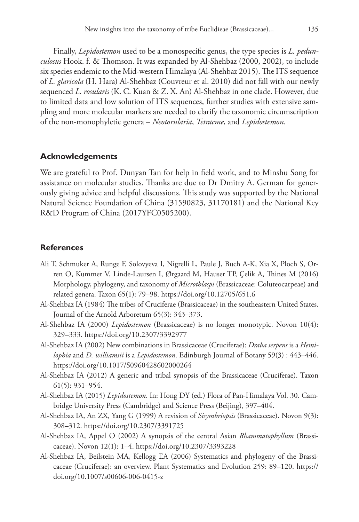Finally, *Lepidostemon* used to be a monospecific genus, the type species is *L. pedunculosus* Hook. f. & Thomson. It was expanded by Al-Shehbaz (2000, 2002), to include six species endemic to the Mid-western Himalaya (Al-Shehbaz 2015). The ITS sequence of *L. glaricola* (H. Hara) Al-Shehbaz (Couvreur et al. 2010) did not fall with our newly sequenced *L. rosularis* (K. C. Kuan & Z. X. An) Al-Shehbaz in one clade. However, due to limited data and low solution of ITS sequences, further studies with extensive sampling and more molecular markers are needed to clarify the taxonomic circumscription of the non-monophyletic genera – *Neotorularia*, *Tetracme*, and *Lepidostemon*.

### **Acknowledgements**

We are grateful to Prof. Dunyan Tan for help in field work, and to Minshu Song for assistance on molecular studies. Thanks are due to Dr Dmitry A. German for generously giving advice and helpful discussions. This study was supported by the National Natural Science Foundation of China (31590823, 31170181) and the National Key R&D Program of China (2017YFC0505200).

## **References**

- Ali T, Schmuker A, Runge F, Solovyeva I, Nigrelli L, Paule J, Buch A-K, Xia X, Ploch S, Orren O, Kummer V, Linde-Laursen I, Ørgaard M, Hauser TP, Ҫelik A, Thines M (2016) Morphology, phylogeny, and taxonomy of *Microthlaspi* (Brassicaceae: Coluteocarpeae) and related genera. Taxon 65(1): 79–98.<https://doi.org/10.12705/651.6>
- Al-Shehbaz IA (1984) The tribes of Cruciferae (Brassicaceae) in the southeastern United States. Journal of the Arnold Arboretum 65(3): 343–373.
- Al-Shehbaz IA (2000) *Lepidostemon* (Brassicaceae) is no longer monotypic. Novon 10(4): 329–333.<https://doi.org/10.2307/3392977>
- Al-Shehbaz IA (2002) New combinations in Brassicaceae (Cruciferae): *Draba serpens* is a *Hemilophia* and *D. williamsii* is a *Lepidostemon*. Edinburgh Journal of Botany 59(3) : 443–446. <https://doi.org/10.1017/S0960428602000264>
- Al-Shehbaz IA (2012) A generic and tribal synopsis of the Brassicaceae (Cruciferae). Taxon 61(5): 931–954.
- Al-Shehbaz IA (2015) *Lepidostemon*. In: Hong DY (ed.) Flora of Pan-Himalaya Vol. 30. Cambridge University Press (Cambridge) and Science Press (Beijing), 397–404.
- Al-Shehbaz IA, An ZX, Yang G (1999) A revision of *Sisymbriopsis* (Brassicaceae). Novon 9(3): 308–312.<https://doi.org/10.2307/3391725>
- Al-Shehbaz IA, Appel O (2002) A synopsis of the central Asian *Rhammatophyllum* (Brassicaceae). Novon 12(1): 1–4.<https://doi.org/10.2307/3393228>
- Al-Shehbaz IA, Beilstein MA, Kellogg EA (2006) Systematics and phylogeny of the Brassicaceae (Cruciferae): an overview. Plant Systematics and Evolution 259: 89–120. [https://](https://doi.org/10.1007/s00606-006-0415-z) [doi.org/10.1007/s00606-006-0415-z](https://doi.org/10.1007/s00606-006-0415-z)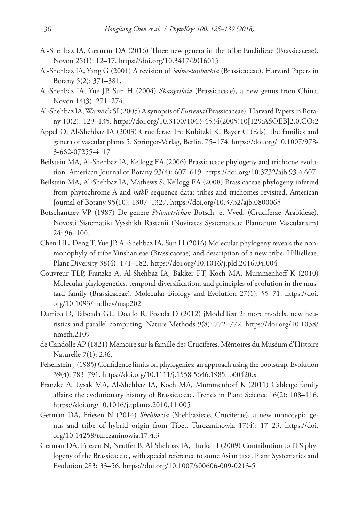- Al-Shehbaz IA, German DA (2016) Three new genera in the tribe Euclidieae (Brassicaceae). Novon 25(1): 12–17. <https://doi.org/10.3417/2016015>
- Al-Shehbaz IA, Yang G (2001) A revision of *Solms-laubachia* (Brassicaceae). Harvard Papers in Botany 5(2): 371–381.
- Al-Shehbaz IA, Yue JP, Sun H (2004) *Shangrilaia* (Brassicaceae), a new genus from China. Novon 14(3): 271–274.
- Al-Shehbaz IA, Warwick SI (2005) A synopsis of *Eutrema* (Brassicaceae). Harvard Papers in Botany 10(2): 129–135. [https://doi.org/10.3100/1043-4534\(2005\)10\[129:ASOEB\]2.0.CO;2](https://doi.org/10.3100/1043-4534(2005)10%5B129:ASOEB%5D2.0.CO;2)
- Appel O, Al-Shehbaz IA (2003) Cruciferae. In: Kubitzki K, Bayer C (Eds) The families and genera of vascular plants 5. Springer-Verlag, Berlin, 75–174. [https://doi.org/10.1007/978-](https://doi.org/10.1007/978-3-662-07255-4_17) [3-662-07255-4\\_17](https://doi.org/10.1007/978-3-662-07255-4_17)
- Beilstein MA, Al-Shehbaz IA, Kellogg EA (2006) Brassicaceae phylogeny and trichome evolution. American Journal of Botany 93(4): 607–619.<https://doi.org/10.3732/ajb.93.4.607>
- Beilstein MA, Al-Shehbaz IA, Mathews S, Kellogg EA (2008) Brassicaceae phylogeny inferred from phytochrome A and *ndh*F sequence data: tribes and trichomes revisited. American Journal of Botany 95(10): 1307–1327. <https://doi.org/10.3732/ajb.0800065>
- Botschantzev VP (1987) De genere *Prionotrichon* Botsch. et Vved. (Cruciferae–Arabideae). Novosti Sistematiki Vysshikh Rastenii (Novitates Systematicae Plantarum Vascularium) 24: 96–100.
- Chen HL, Deng T, Yue JP, Al-Shehbaz IA, Sun H (2016) Molecular phylogeny reveals the nonmonophyly of tribe Yinshanieae (Brassicaceae) and description of a new tribe, Hillielleae. Plant Diversity 38(4): 171–182.<https://doi.org/10.1016/j.pld.2016.04.004>
- Couvreur TLP, Franzke A, Al-Shehbaz IA, Bakker FT, Koch MA, Mummenhoff K (2010) Molecular phylogenetics, temporal diversification, and principles of evolution in the mustard family (Brassicaceae). Molecular Biology and Evolution 27(1): 55–71. [https://doi.](https://doi.org/10.1093/molbev/msp202) [org/10.1093/molbev/msp202](https://doi.org/10.1093/molbev/msp202)
- Darriba D, Taboada GL, Doallo R, Posada D (2012) jModelTest 2: more models, new heuristics and parallel computing. Nature Methods 9(8): 772–772. [https://doi.org/10.1038/](https://doi.org/10.1038/nmeth.2109) [nmeth.2109](https://doi.org/10.1038/nmeth.2109)
- de Candolle AP (1821) Mémoire sur la famille des Crucifères. Mémoires du Muséum d'Histoire Naturelle 7(1): 236.
- Felsenstein J (1985) Confidence limits on phylogenies: an approach using the bootstrap. Evolution 39(4): 783–791.<https://doi.org/10.1111/j.1558-5646.1985.tb00420.x>
- Franzke A, Lysak MA, Al-Shehbaz IA, Koch MA, Mummenhoff K (2011) Cabbage family affairs: the evolutionary history of Brassicaceae. Trends in Plant Science 16(2): 108–116. <https://doi.org/10.1016/j.tplants.2010.11.005>
- German DA, Friesen N (2014) *Shehbazia* (Shehbazieae, Cruciferae), a new monotypic genus and tribe of hybrid origin from Tibet. Turczaninowia 17(4): 17–23. [https://doi.](https://doi.org/10.14258/turczaninowia.17.4.3) [org/10.14258/turczaninowia.17.4.3](https://doi.org/10.14258/turczaninowia.17.4.3)
- German DA, Friesen N, Neuffer B, Al-Shehbaz IA, Hurka H (2009) Contribution to ITS phylogeny of the Brassicaceae, with special reference to some Asian taxa. Plant Systematics and Evolution 283: 33–56. <https://doi.org/10.1007/s00606-009-0213-5>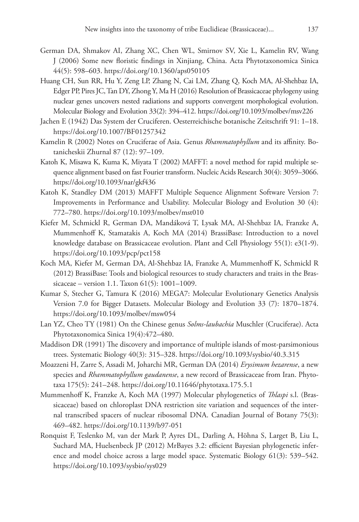- German DA, Shmakov AI, Zhang XC, Chen WL, Smirnov SV, Xie L, Kamelin RV, Wang J (2006) Some new floristic findings in Xinjiang, China. Acta Phytotaxonomica Sinica 44(5): 598–603. <https://doi.org/10.1360/aps050105>
- Huang CH, Sun RR, Hu Y, Zeng LP, Zhang N, Cai LM, Zhang Q, Koch MA, Al-Shehbaz IA, Edger PP, Pires JC, Tan DY, Zhong Y, Ma H (2016) Resolution of Brassicaceae phylogeny using nuclear genes uncovers nested radiations and supports convergent morphological evolution. Molecular Biology and Evolution 33(2): 394–412. <https://doi.org/10.1093/molbev/msv226>
- Jachen E (1942) Das System der Cruciferen. Oesterreichische botanische Zeitschrift 91: 1–18. <https://doi.org/10.1007/BF01257342>
- Kamelin R (2002) Notes on Cruciferae of Asia. Genus *Rhammatophyllum* and its affinity. Botanicheskii Zhurnal 87 (12): 97–109.
- Katoh K, Misawa K, Kuma K, Miyata T (2002) MAFFT: a novel method for rapid multiple sequence alignment based on fast Fourier transform. Nucleic Acids Research 30(4): 3059–3066. <https://doi.org/10.1093/nar/gkf436>
- Katoh K, Standley DM (2013) MAFFT Multiple Sequence Alignment Software Version 7: Improvements in Performance and Usability. Molecular Biology and Evolution 30 (4): 772–780.<https://doi.org/10.1093/molbev/mst010>
- Kiefer M, Schmickl R, German DA, Mandáková T, Lysak MA, Al-Shehbaz IA, Franzke A, Mummenhoff K, Stamatakis A, Koch MA (2014) BrassiBase: Introduction to a novel knowledge database on Brassicaceae evolution. Plant and Cell Physiology 55(1): e3(1-9). <https://doi.org/10.1093/pcp/pct158>
- Koch MA, Kiefer M, German DA, Al-Shehbaz IA, Franzke A, Mummenhoff K, Schmickl R (2012) BrassiBase: Tools and biological resources to study characters and traits in the Brassicaceae – version 1.1. Taxon 61(5): 1001–1009.
- Kumar S, Stecher G, Tamura K (2016) MEGA7: Molecular Evolutionary Genetics Analysis Version 7.0 for Bigger Datasets. Molecular Biology and Evolution 33 (7): 1870–1874. <https://doi.org/10.1093/molbev/msw054>
- Lan YZ, Cheo TY (1981) On the Chinese genus *Solms-laubachia* Muschler (Cruciferae). Acta Phytotaxonomica Sinica 19(4):472–480.
- Maddison DR (1991) The discovery and importance of multiple islands of most-parsimonious trees. Systematic Biology 40(3): 315–328. <https://doi.org/10.1093/sysbio/40.3.315>
- Moazzeni H, Zarre S, Assadi M, Joharchi MR, German DA (2014) *Erysimum hezarense*, a new species and *Rhammatophyllum gaudanense*, a new record of Brassicaceae from Iran. Phytotaxa 175(5): 241–248. <https://doi.org/10.11646/phytotaxa.175.5.1>
- Mummenhoff K, Franzke A, Koch MA (1997) Molecular phylogenetics of *Thlaspi* s.l. (Brassicaceae) based on chloroplast DNA restriction site variation and sequences of the internal transcribed spacers of nuclear ribosomal DNA. Canadian Journal of Botany 75(3): 469–482.<https://doi.org/10.1139/b97-051>
- Ronquist F, Teslenko M, van der Mark P, Ayres DL, Darling A, Höhna S, Larget B, Liu L, Suchard MA, Huelsenbeck JP (2012) MrBayes 3.2: efficient Bayesian phylogenetic inference and model choice across a large model space. Systematic Biology 61(3): 539–542. <https://doi.org/10.1093/sysbio/sys029>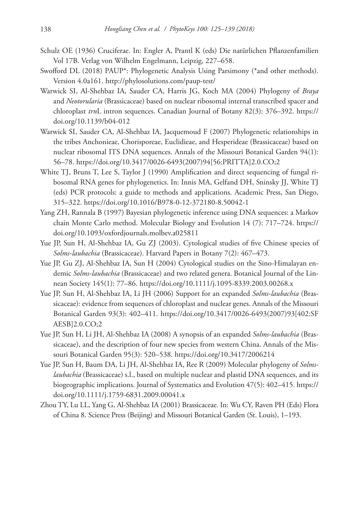- Schulz OE (1936) Cruciferae. In: Engler A, Prantl K (eds) Die natürlichen Pflanzenfamilien Vol 17B. Verlag von Wilhelm Engelmann, Leipzig, 227–658.
- Swofford DL (2018) PAUP\*: Phylogenetic Analysis Using Parsimony (\*and other methods). Version 4.0a161.<http://phylosolutions.com/paup-test/>
- Warwick SI, Al-Shehbaz IA, Sauder CA, Harris JG, Koch MA (2004) Phylogeny of *Braya* and *Neotorularia* (Brassicaceae) based on nuclear ribosomal internal transcribed spacer and chloroplast *trn*L intron sequences. Canadian Journal of Botany 82(3): 376–392. [https://](https://doi.org/10.1139/b04-012) [doi.org/10.1139/b04-012](https://doi.org/10.1139/b04-012)
- Warwick SI, Sauder CA, Al-Shehbaz IA, Jacquemoud F (2007) Phylogenetic relationships in the tribes Anchonieae, Chorisporeae, Euclidieae, and Hesperideae (Brassicaceae) based on nuclear ribosomal ITS DNA sequences. Annals of the Missouri Botanical Garden 94(1): 56–78. [https://doi.org/10.3417/0026-6493\(2007\)94\[56:PRITTA\]2.0.CO;2](https://doi.org/10.3417/0026-6493(2007)94%5B56:PRITTA%5D2.0.CO;2)
- White TJ, Bruns T, Lee S, Taylor J (1990) Amplification and direct sequencing of fungal ribosomal RNA genes for phylogenetics. In: Innis MA, Gelfand DH, Sninsky JJ, White TJ (eds) PCR protocols: a guide to methods and applications. Academic Press, San Diego, 315–322.<https://doi.org/10.1016/B978-0-12-372180-8.50042-1>
- Yang ZH, Rannala B (1997) Bayesian phylogenetic inference using DNA sequences: a Markov chain Monte Carlo method. Molecular Biology and Evolution 14 (7): 717–724. [https://](https://doi.org/10.1093/oxfordjournals.molbev.a025811) [doi.org/10.1093/oxfordjournals.molbev.a025811](https://doi.org/10.1093/oxfordjournals.molbev.a025811)
- Yue JP, Sun H, Al-Shehbaz IA, Gu ZJ (2003). Cytological studies of five Chinese species of *Solms-laubachia* (Brassicaceae). Harvard Papers in Botany 7(2): 467–473.
- Yue JP, Gu ZJ, Al-Shehbaz IA, Sun H (2004) Cytological studies on the Sino-Himalayan endemic *Solms-laubachia* (Brassicaceae) and two related genera. Botanical Journal of the Linnean Society 145(1): 77–86. <https://doi.org/10.1111/j.1095-8339.2003.00268.x>
- Yue JP, Sun H, Al-Shehbaz IA, Li JH (2006) Support for an expanded *Solms-laubachia* (Brassicaceae): evidence from sequences of chloroplast and nuclear genes. Annals of the Missouri Botanical Garden 93(3): 402–411. [https://doi.org/10.3417/0026-6493\(2007\)93\[402:SF](https://doi.org/10.3417/0026-6493(2007)93%5B402:SFAESB%5D2.0.CO;2) [AESB\]2.0.CO;2](https://doi.org/10.3417/0026-6493(2007)93%5B402:SFAESB%5D2.0.CO;2)
- Yue JP, Sun H, Li JH, Al-Shehbaz IA (2008) A synopsis of an expanded *Solms-laubachia* (Brassicaceae), and the description of four new species from western China. Annals of the Missouri Botanical Garden 95(3): 520–538. <https://doi.org/10.3417/2006214>
- Yue JP, Sun H, Baum DA, Li JH, Al-Shehbaz IA, Ree R (2009) Molecular phylogeny of *Solmslaubachia* (Brassicaceae) s.l., based on multiple nuclear and plastid DNA sequences, and its biogeographic implications. Journal of Systematics and Evolution 47(5): 402–415. [https://](https://doi.org/10.1111/j.1759-6831.2009.00041.x) [doi.org/10.1111/j.1759-6831.2009.00041.x](https://doi.org/10.1111/j.1759-6831.2009.00041.x)
- Zhou TY, Lu LL, Yang G, Al-Shehbaz IA (2001) Brassicaceae. In: Wu CY, Raven PH (Eds) Flora of China 8. Science Press (Beijing) and Missouri Botanical Garden (St. Louis), 1–193.